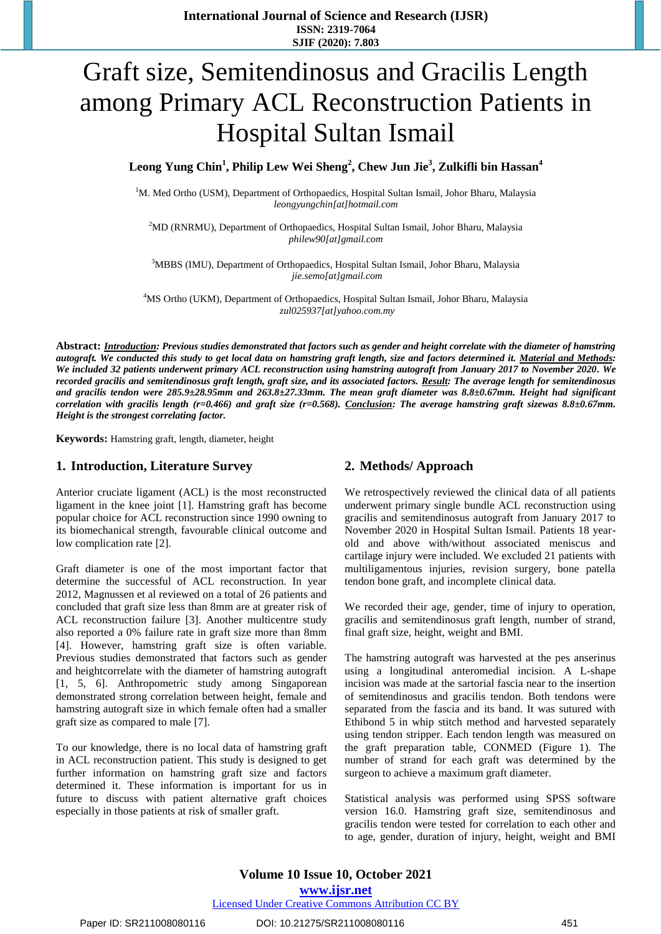# Graft size, Semitendinosus and Gracilis Length among Primary ACL Reconstruction Patients in Hospital Sultan Ismail

**Leong Yung Chin<sup>1</sup> , Philip Lew Wei Sheng<sup>2</sup> , Chew Jun Jie<sup>3</sup> , Zulkifli bin Hassan<sup>4</sup>**

<sup>1</sup>M. Med Ortho (USM), Department of Orthopaedics, Hospital Sultan Ismail, Johor Bharu, Malaysia *[leongyungchin\[at\]hotmail.com](mailto:leongyungchin@hotmail.com)*

<sup>2</sup>MD (RNRMU), Department of Orthopaedics, Hospital Sultan Ismail, Johor Bharu, Malaysia *[philew90\[at\]gmail.com](mailto:philew90@gmail.com)*

<sup>3</sup>MBBS (IMU), Department of Orthopaedics, Hospital Sultan Ismail, Johor Bharu, Malaysia *[jie.semo\[at\]gmail.com](mailto:jie.semo@gmail.com)*

<sup>4</sup>MS Ortho (UKM), Department of Orthopaedics, Hospital Sultan Ismail, Johor Bharu, Malaysia *zul025937[at]yahoo.com.my*

**Abstract:** *Introduction: Previous studies demonstrated that factors such as gender and height correlate with the diameter of hamstring autograft. We conducted this study to get local data on hamstring graft length, size and factors determined it. Material and Methods: We included 32 patients underwent primary ACL reconstruction using hamstring autograft from January 2017 to November 2020. We recorded gracilis and semitendinosus graft length, graft size, and its associated factors. Result: The average length for semitendinosus and gracilis tendon were 285.9±28.95mm and 263.8±27.33mm. The mean graft diameter was 8.8±0.67mm. Height had significant correlation with gracilis length (r=0.466) and graft size (r=0.568). Conclusion: The average hamstring graft sizewas 8.8±0.67mm. Height is the strongest correlating factor.*

**Keywords:** Hamstring graft, length, diameter, height

#### **1. Introduction, Literature Survey**

Anterior cruciate ligament (ACL) is the most reconstructed ligament in the knee joint [\[1\]](#page-1-0). Hamstring graft has become popular choice for ACL reconstruction since 1990 owning to its biomechanical strength, favourable clinical outcome and low complication rate [\[2\]](#page-2-0).

Graft diameter is one of the most important factor that determine the successful of ACL reconstruction. In year 2012, Magnussen et al reviewed on a total of 26 patients and concluded that graft size less than 8mm are at greater risk of ACL reconstruction failure [\[3\]](#page-2-1). Another multicentre study also reported a 0% failure rate in graft size more than 8mm [\[4\]](#page-2-2). However, hamstring graft size is often variable. Previous studies demonstrated that factors such as gender and heightcorrelate with the diameter of hamstring autograft [\[1,](#page-1-0) [5,](#page-2-3) [6\]](#page-2-4). Anthropometric study among Singaporean demonstrated strong correlation between height, female and hamstring autograft size in which female often had a smaller graft size as compared to male [\[7\]](#page-2-5).

To our knowledge, there is no local data of hamstring graft in ACL reconstruction patient. This study is designed to get further information on hamstring graft size and factors determined it. These information is important for us in future to discuss with patient alternative graft choices especially in those patients at risk of smaller graft.

#### **2. Methods/ Approach**

We retrospectively reviewed the clinical data of all patients underwent primary single bundle ACL reconstruction using gracilis and semitendinosus autograft from January 2017 to November 2020 in Hospital Sultan Ismail. Patients 18 yearold and above with/without associated meniscus and cartilage injury were included. We excluded 21 patients with multiligamentous injuries, revision surgery, bone patella tendon bone graft, and incomplete clinical data.

We recorded their age, gender, time of injury to operation, gracilis and semitendinosus graft length, number of strand, final graft size, height, weight and BMI.

The hamstring autograft was harvested at the pes anserinus using a longitudinal anteromedial incision. A L-shape incision was made at the sartorial fascia near to the insertion of semitendinosus and gracilis tendon. Both tendons were separated from the fascia and its band. It was sutured with Ethibond 5 in whip stitch method and harvested separately using tendon stripper. Each tendon length was measured on the graft preparation table, CONMED (Figure 1). The number of strand for each graft was determined by the surgeon to achieve a maximum graft diameter.

Statistical analysis was performed using SPSS software version 16.0. Hamstring graft size, semitendinosus and gracilis tendon were tested for correlation to each other and to age, gender, duration of injury, height, weight and BMI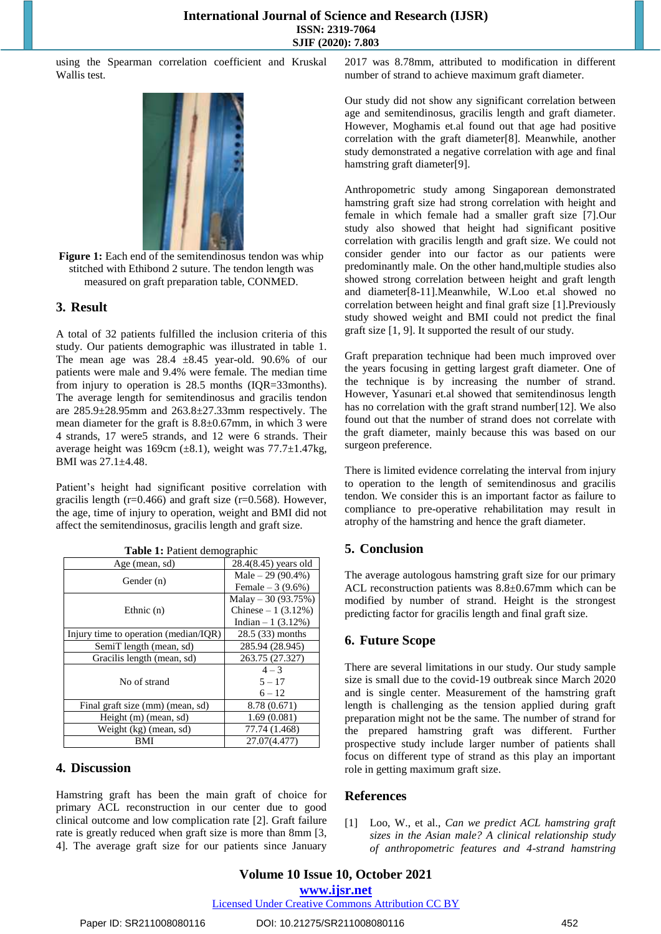using the Spearman correlation coefficient and Kruskal Wallis test.



**Figure 1:** Each end of the semitendinosus tendon was whip stitched with Ethibond 2 suture. The tendon length was measured on graft preparation table, CONMED.

## **3. Result**

A total of 32 patients fulfilled the inclusion criteria of this study. Our patients demographic was illustrated in table 1. The mean age was  $28.4 \pm 8.45$  year-old. 90.6% of our patients were male and 9.4% were female. The median time from injury to operation is 28.5 months (IQR=33months). The average length for semitendinosus and gracilis tendon are 285.9±28.95mm and 263.8±27.33mm respectively. The mean diameter for the graft is 8.8±0.67mm, in which 3 were 4 strands, 17 were5 strands, and 12 were 6 strands. Their average height was 169cm  $(\pm 8.1)$ , weight was 77.7 $\pm$ 1.47kg, BMI was 27.1±4.48.

Patient's height had significant positive correlation with gracilis length ( $r=0.466$ ) and graft size ( $r=0.568$ ). However, the age, time of injury to operation, weight and BMI did not affect the semitendinosus, gracilis length and graft size.

| Age (mean, sd)                        | 28.4(8.45) years old |
|---------------------------------------|----------------------|
| Gender $(n)$                          | Male $-29(90.4\%)$   |
|                                       | Female $-3(9.6%)$    |
| Ethnic $(n)$                          | Malay $-30(93.75%)$  |
|                                       | Chinese $-1$ (3.12%) |
|                                       | Indian $-1$ (3.12%)  |
| Injury time to operation (median/IQR) | 28.5 (33) months     |
| SemiT length (mean, sd)               | 285.94 (28.945)      |
| Gracilis length (mean, sd)            | 263.75 (27.327)      |
| No of strand                          | $4 - 3$              |
|                                       | $5 - 17$             |
|                                       | $6 - 12$             |
| Final graft size (mm) (mean, sd)      | 8.78 (0.671)         |
| Height (m) (mean, sd)                 | 1.69(0.081)          |
| Weight (kg) (mean, sd)                | 77.74 (1.468)        |
| BMI                                   | 27.07(4.477)         |

**Table 1:** Patient demographic

## **4. Discussion**

Hamstring graft has been the main graft of choice for primary ACL reconstruction in our center due to good clinical outcome and low complication rate [\[2\]](#page-2-0). Graft failure rate is greatly reduced when graft size is more than 8mm [3, 4]. The average graft size for our patients since January

2017 was 8.78mm, attributed to modification in different number of strand to achieve maximum graft diameter.

Our study did not show any significant correlation between age and semitendinosus, gracilis length and graft diameter. However, Moghamis et.al found out that age had positive correlation with the graft diameter[\[8\]](#page-2-6). Meanwhile, another study demonstrated a negative correlation with age and final hamstring graft diameter[\[9\]](#page-2-7).

Anthropometric study among Singaporean demonstrated hamstring graft size had strong correlation with height and female in which female had a smaller graft size [\[7\]](#page-2-5).Our study also showed that height had significant positive correlation with gracilis length and graft size. We could not consider gender into our factor as our patients were predominantly male. On the other hand,multiple studies also showed strong correlation between height and graft length and diameter[\[8-11\]](#page-2-6).Meanwhile, W.Loo et.al showed no correlation between height and final graft size [\[1\]](#page-1-0).Previously study showed weight and BMI could not predict the final graft size [\[1,](#page-1-0) [9\]](#page-2-7). It supported the result of our study.

Graft preparation technique had been much improved over the years focusing in getting largest graft diameter. One of the technique is by increasing the number of strand. However, Yasunari et.al showed that semitendinosus length has no correlation with the graft strand number[\[12\]](#page-2-8). We also found out that the number of strand does not correlate with the graft diameter, mainly because this was based on our surgeon preference.

There is limited evidence correlating the interval from injury to operation to the length of semitendinosus and gracilis tendon. We consider this is an important factor as failure to compliance to pre-operative rehabilitation may result in atrophy of the hamstring and hence the graft diameter.

## **5. Conclusion**

The average autologous hamstring graft size for our primary ACL reconstruction patients was 8.8±0.67mm which can be modified by number of strand. Height is the strongest predicting factor for gracilis length and final graft size.

## **6. Future Scope**

There are several limitations in our study. Our study sample size is small due to the covid-19 outbreak since March 2020 and is single center. Measurement of the hamstring graft length is challenging as the tension applied during graft preparation might not be the same. The number of strand for the prepared hamstring graft was different. Further prospective study include larger number of patients shall focus on different type of strand as this play an important role in getting maximum graft size.

## **References**

<span id="page-1-0"></span>[1] Loo, W., et al., *Can we predict ACL hamstring graft sizes in the Asian male? A clinical relationship study of anthropometric features and 4-strand hamstring* 

**<www.ijsr.net>**

Licensed [Under Creative Commons Attribution CC BY](http://creativecommons.org/licenses/by/4.0/)